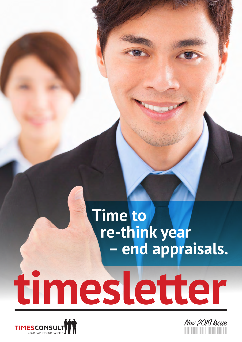# **timesletter Time to re-think year – end appraisals.**



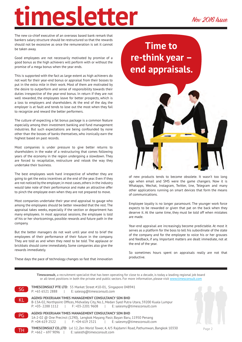The new co-chief executive of an overseas based bank remark that bankers salary structure should be restructured so that the rewards should not be excessive as once the remuneration is set it cannot be taken away.

Good employees are not necessarily motivated by promise of a good bonus as the high achievers will perform with or without the promise of a mega bonus when the year ends.

This is supported with the fact as large extent as high achievers do not wait for their year-end bonus or appraisal from their bosses to put in the extra mile in their work. Most of them are motivated by the desire to outperform and sense of responsibility towards their duties irrespective of the year-end bonus. In return if they are not well rewarded, the employees leave for better prospects, which is a loss to employers and shareholders. At the end of the day, the employer is at fault and tends to lose out the most when they fail to recognize and reward the better performers.

The culture of expecting a fat bonus package is a common feature especially among then investment banking and fund management industries. But such expectations are being confounded by none other than the bosses of banks themselves, who ironically earn the highest based on past records.

Most companies is under pressure to give better returns to shareholders in the wake of a restructuring that comes following years of the economy in the region undergoing a slowdown. They are forced to recapitalize, restructure and relook the way they undertake their business.

The best employees work hard irrespective of whether they are going to get the extra incentives at the end of the year. Even if they are not noticed by the employer, in most cases, others in the industry would take note of their performance and make an attractive offer to pinch the employee even when they are not prepared to move.

Most companies undertake their year-end appraisal to gauge who among the employees should be better rewarded that the rest. The appraisal takes weeks, especially if the section or department has many employees. In most appraisal sessions, the employee is told of his or her shortcomings, possible rewards and future path in the company.

But the better managers do not wait until year end to brief the employees of their performance of their future in the company. They are told as and when they need to be told. The applause or brickbats should come immediately. Some companies also give the rewards immediately.

These days the pace of technology changes so fast that innovation

**Time to re-think year – end appraisals.**



of new products tends to become obsolete. It wasn't too long ago when email and SMS were the game changers. Now it is Whatapps, Wechat, Instagram, Twitter, line, Telegram and many other applications running on smart devices that form the means of communications.

Employee loyalty is no longer paramount. The younger work force expects to be rewarded or given that pat on the back when they deserve it. At the same time, they must be told off when mistakes are made.

Year-end appraisal are increasingly become predictable. At most it serves as a platform for the boss to tell his subordinate of the state of the company and for the employee to voice his or her grouses and feedback, if any. Important matters are dealt immediate, not at the end of the year.

So sometimes hours spent on appraisals really are not that productive.

**Timesconsult,** a recruitment specialist that has been operating for close to a decade, is today a leading regional job board or all-level positions in both the private and public sectors. For more information, please visit www.timesconsult.com



**AGENSI PEKERJAAN TIMES MANAGEMENT CONSULTANCY SDN BHD** B-13A-02, Northpoint Offices, Midvalley City, No.1, Medan Syed Putra Utara, 59200 Kuala Lumpur P: +03- 2288 1112 | F: +03-2201 9608 | E: salesmy@timesconsult.com **AGENSI PEKERJAAN TIMES MANAGEMENT CONSULTANCY SDN BHD**  1A-2-02 @ One Precinct (1290), Lengkok Mayang Pasir, Bayan Baru, 11950 Penang P: +04-619 2522 | F: +04-619 2521 | E: salesmy@timesconsult.com PG



**TIMESCONSULT CO.,LTD**: Lvl 12, Zen World Tower, 4, 4/5 Rajdamri Road, Pathumwan, Bangkok 10330 **P:**  $+662 - 6979096$  | E: salesth@timesconsult.com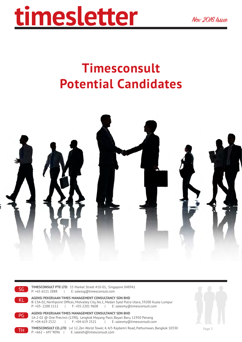## **Timesconsult Potential Candidates**





**TIMESCONSULT PTE LTD**: 55 Market Street #10-01, Singapore 048941 P: +65 6521 2888 | E: salessg@timesconsult.com

SG

**AGENSI PEKERJAAN TIMES MANAGEMENT CONSULTANCY SDN BHD** B-13A-02, Northpoint Offices, Midvalley City, No.1, Medan Syed Putra Utara, 59200 Kuala Lumpur<br>P: +03-2288 1112 | F: +03-2201 9608 | E: salesmy@timesconsult.com P: +03- 2288 1112 | F: +03-2201 9608 | E: salesmy@timesconsult.com KL

**AGENSI PEKERJAAN TIMES MANAGEMENT CONSULTANCY SDN BHD**  1A-2-02 @ One Precinct (1290), Lengkok Mayang Pasir, Bayan Baru, 11950 Penang P: +04-619 2522 | F: +04-619 2521 | E: salesmy@timesconsult.com PG

**TIMESCONSULT CO.,LTD**: Lvl 12, Zen World Tower, 4, 4/5 Rajdamri Road, Pathumwan, Bangkok 10330 **TH** P:  $+662 - 6979096$  | E: salesth@timesconsult.com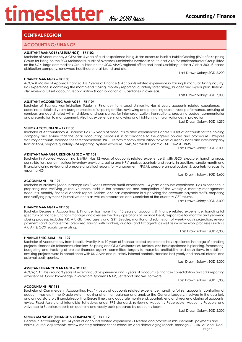## **CENTRAL REGION**

### **ACCOUNTING/FINANCE**

### **ASSISTANT MANAGER (ASSURANCE) – FR1102**

Bachelor of Accountancy & CFA; Has 4 years of audit experience in big 4; Has exposure in Initial Public Offering (IPO) of a shipping Group for listing on the SGX Mainboard, audit of overseas subsidiaries located in south east Asia for semiconductor Group listed on the SGX, large commodities Group listed on the SGX, APAC regional office and local subsidiary under a Global 500 US-based distribution company, renowned healthcare retail brand and etc.

#### **FINANCE MANAGER – FR1103**

ACCA & Master of Applied Finance; Has 7 years of Finance & Accounts related experience in trading & manufacturing industry. Has expereince in controling the month-end closing, monthly reporting, quarterly forecasting, budget and 5-year plan. Besides, also review a full set account, reconciliation & consolidation of subsidiaries in overseas.

Last Drawn Salary: SGD 7,000

Last Drawn Salary: SGD 6,200

**ASSISTANT ACCOUNTING MANAGER – FR1104**  Bachelor of Business Administration (Major in Finance) from Local University; Has 6 years accounts related experience. in coordinate detailed yearly budget exercise of shipping entities. reviewing and projecting current year performance, ensuring all numbers are coordinated within divisions and companies for inter-organization transactions, preparing budget commentaries and presentation to management. Also has experience in analyzing and highlighting major variances in projection

Last Drawn Salary: SGD 4,250

#### **SENIOR ACCOUNTANT – FR11105**

Bachelor of Accountancy & Finance; Has 8-9 years of accounts related experience; Handle full set of accounts for the holding company and ensure that the local accounting process is in accordance to the agreed policies and procedures. Prepare statutory accounts, balance sheet reconciliations, P&L. Preform monthly revaluation for varies currency bank and inter-company transactions, prepare quarterly GST reporting. System exposure : SAP, Microsoft Dynamics AX, CRM & EBMS

## Last Drawn Salary : SGD 5,000

**ASSISTANT MANAGER, REGIONAL SSC – FR1106**  Bachelor in Applied Accounting & MBA; Has 12 years of accounts related experience & with JSOX exposure; handling group consolidation, perform various inventory provisions, aging and NRV analysis quarterly and yearly. In addition, handle month-end financial closing review and prepare analytical reports for Management (FP&A), prepare annual budget & quarterly forecast to report to HQ

Last Drawn Salary : SGD 6,600

#### **ACCOUNTANT – FR1107**

Bachelor of Business (Accountancy); Has 3 year's external audit experience + 4 years accounts experience. Has experience in preparing and verifying journal vouchers, assist in the preparation and completion of the weekly & monthly management accounts, monthly financial analysis report. Besides, also has experience in supervising the accounts payable staffs, preparing and verifying payment / journal vouchers as well as preparation and submission of the quarterly GST returns.

Last Drawn Salary : SGD 5,000

#### **FINANCE MANAGER – FR1108**

Bachelor Degree in Accounting & Finance; has more than 10 years of accounts & finance related experience; handling full spectrum of finance function- manage and oversee the daily operations of Finance Dept, responsible for monthly and year-end closing process, includes AR, AP, GL, fixed assets and GST. Besides, monitor and submission of weekly cash projection, review payments and journal entries prepared, liaising with bankers, auditors and tax agents as well as improve work processes such as AR, AP & COS reports generating.

Last Draw Salary : SGD 6,300

#### **FINANCE SPECIALIST – FR 1109**

**ASSISTANT FINANCE MANAGER – FR1110**

Bachelor of Accountancy from Local University; Has 10 years of finance related experience; has experience in charge of handling projects' finances in Telecommunications, Shipping and Oil & Gas industries. Besides, also has experience in planning, forecasting, budgeting and tracking of project finances against committed targets to maximize profitability and cash flows. In addition, ensuring projects were in compliance with US GAAP and quarterly internal controls. Handled half yearly and annual internal and external audit queries.

Last Drawn Salary : SGD 6,300

ACCA; CA; Has around 3 years of external audit experience and 5 years of accounts & finance- consolidation and SGX reporting experiences. Good knowledge in Microsoft Dynamics NAV, Jet report and SAP software.

Last Drawn Salary : SGD 5,300

#### **ACCOUNTANT- FR1111**

Bachelor of Commerce in Accounting; Has 14 years of accounts related experience; handling full set accounts, controlling of account masters in the Oracle system, looking after trial balance and analyse the General Ledgers, involved in the quarterly and annual statutory financial reporting. Ensure timely and accurate month end, quarterly end and year end closing of accounts, review Fixed Assets and Intangible Schedules under FRS standard, reviewing Accounts Receivable, Accounts Payable and Advance to Suppliers reports on quarterly and yearly basis prepared by accounts team.

Last Drawn Salary: SGD 5,300

#### **SENIOR MANAGER (FINANCE & COMPLIANCE) – FR1112**

Degree in Accounting; Has 14 years of accounts related experience - Oversee and process reimbursements, payments and claims, journal adjustments. review monthly balance sheet schedules and debtor aging reports, manage GL, AR, AP and Fixed

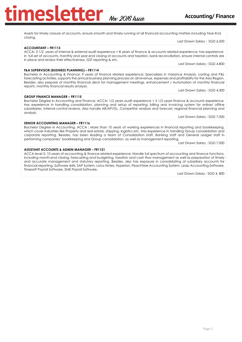**Accounting/** Finance

Assets for timely closure of accounts, ensure smooth and timely running of all financial accounting matters including Year-End closing.

#### **ACCOUNTANT – FR1113**

ACCA; 3 1/2 years of internal & external audit experience + 8 years of finance & accounts related experience; has experience in full set of accounts, monthly and year end closing of accounts and taxation, bank reconciliation, ensure internal controls are in place and review their effectiveness, GST reporting & etc. Last Drawn Salary : SGD 4,800

#### **F&A SUPERVISOR (BUSINESS PLANNING) – FR1114**

Bachelor in Accounting & Finance; 9 years of finance related experience; Specializes in Variance Analysis, costing and P&L forecasting activities, supports the annual business planning process on all revenue, expenses and profitability for the Asia Region. Besides, also prepare of monthly financial deck for management meetings, enhancement / Automation of monthly financial reports, monthly financial results analysis.

Last Drawn Salary : SGD 4,300

Last Drawn Salary : SGD 6,500

#### **GROUP FINANCE MANAGER – FR1115**

Bachelor Degree in Accounting and Finance; ACCA; 1/2 years audit experience + 3 1/2 years finance & accounts experience. Has experience in handling consolidation, planning and setup of reporting, billing and invoicing system for online/ offline subsidiaries, Internal control reviews. Also handle AR/AP/GL, Competitor analysis and forecast, regional financial planning and analysis.

Last Drawn Salary : SGD 7,000

#### **SENIOR ACCOUNTING MANAGER – FR1116**

Bachelor Degree in Accounting, ACCA ; More than 10 years of working experiences in financial reporting and bookkeeping, which cover industries like Property and real estate, shipping, logistics etc. Has experience in handling Group consolidation and corporate reporting. Besides, has been leading a team of Consolidation staff, Banking staff and General Ledger staff in performing companies' bookkeeping and Group consolidation, as well as management reporting.

Last Drawn Salary : SGD 7,000

#### **ASSISTANT ACCOUNTS & ADMIN MANAGER – FR1121**

ACCA level 2; 10 years of accounting & finance related experience; Handle full spectrum of accounting and finance functions, including month-end closing, forecasting and budgeting, taxation and cash flow management as well as preparation of timely and accurate management and statutory reporting. Besides, also has exposure in consolidating of subsidiary accounts for financial reporting. Software skills: SAP System, Lotus Notes, Hyperion, Peachtree Accounting System, Leap Accounting Software, Timesoft Payroll Software, SME Payroll Software,

Last Drawn Salary : SGD 4, 800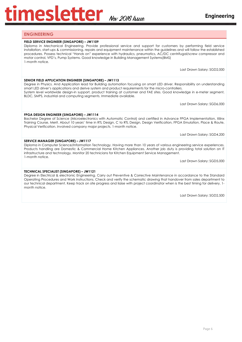## **ENGINEERING**

#### **FIELD SERVICE ENGINEER (SINGAPORE) – JW1109**

Diploma in Mechanical Engineering. Provide professional service and support for customers by performing field service installation, start-ups & commissioning, repairs and equipment maintenance within the guidelines and will follow the established procedures. Possess technical "Hands on" experience with hydraulics, pneumatics, AC/DC centrifugal/screw compressor and motor control, VFD's, Pump Systems. Good knowledge in Building Management Systems(BMS) 1-month notice.

Last Drawn Salary: SGD2,000

#### **SENIOR FIELD APPLICATION ENGINEER (SINGAPORE) – JW1113**

Degree in Physics. And Application lead for Building automation focusing on smart LED driver. Responsibility on understanding smart LED driver's applications and derive system and product requirements for the micro-controllers. System level worldwide design-in support, product training at customer and FAE sites. Good knowledge in e-meter segment, BLDC, SMPS, industrial and computing segments. Immediate available.

Last Drawn Salary: SGD6,000

#### **FPGA DESIGN ENGINEER (SINGAPORE) – JW1114**

Bachelor Degree of Science (Microelectronics with Automatic Control) and certified in Advance FPGA Implementation, Xilinx Training Course, Merit. About 10 years' time in RTL Design, C to RTL Design, Design Verification, FPGA Emulation, Place & Route, Physical Verification. Involved company major projects. 1-month notice.

Last Drawn Salary: SGD4,200

#### **SERVICE MANAGER (SINGAPORE) – JW1117**

Diploma in Computer Science/Information Technology. Having more than 10 years of various engineering service experiences. Products handling are Domestic & Commercial Home Kitchen Appliances. Another job duty is providing total solution on IT infrastructure and technology. Monitor 20 technicians for Kitchen Equipment Service Management. 1-month notice.

Last Drawn Salary: SGD5,000

#### **TECHNICAL SPECIALIST (SINGAPORE) – JW1121**

Degree in Electrical & electronic Engineering. Carry out Preventive & Corrective Maintenance in accordance to the Standard Operating Procedures and Work Instructions. Check and verify the schematic drawing that handover from sales department to our technical department. Keep track on site progress and liaise with project coordinator when is the best timing for delivery. 1 month notice.

Last Drawn Salary: SGD2,500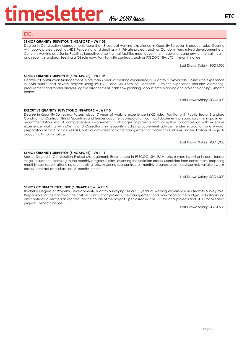## **ETC.**

#### **SENIOR QUANTITY SURVEYOR (SINGAPORE) – JW1105**

Degree in Construction Management. More than 3 years of working experience in Quantity Surveyor & product sales. Dealing with public projects such as HDB Residential and dealing with Private projects such as Condominium, mixed development etc. Currently working as a Senior Facilities Executive, ensuring that facilities meet government regulations and environmental, health and security standards Seeking a QS role now. Familiar with contracts such as PSSCOC, SIA, JTC. 1-month notice.

Last Drawn Salary: SGD4,000

#### **SENIOR QUANTITY SURVEYOR (SINGAPORE) – JW1106**

Degree in Construction Management. More than 9 years of working experience in Quantity Surveyor role. Possess the experience in both public and private projects using PSSCOC and SIA Form of Contracts. Project experience includes estimating, procurement and tender analysis, logistic arrangement, cash flow planning, labour force planning and project planning.1-month notice.

Last Drawn Salary: SGD5,000

#### **EXECUTIVE QUANTITY SURVEYOR (SINGAPORE) – JW1110**

Degree in Quantity Surveying. Possess about 7 years of working experience in QS role. Familiar with Public Sector Standard Conditions of Contract, Bills of Quantities and tender documents preparation, contract documents preparation, interim payment recommendation, etc. A comprehensive involvement in all stages of projects from inception to completion with extensive experience working with Clients and Consultants in feasibility studies, procurement advice, Tender evaluation and Award, preparation of Cost Plan as well as Contract administration and management of Contractors' claims and finalization of projects accounts. 1-month notice.

Last Drawn Salary: SGD5,000

#### **SENIOR QUANTITY SURVEYOR (SINGAPORE) – JW1111**

Master Degree in Construction Project Management. Experienced in PSSCOC, SIA, PAM, etc. 8 years Involving in post- tender stage include the assessing to the monthly progress claims, assessing the variation orders submission from contractors, preparing monthly cost report, attending site meeting, etc. Assessing sub-contractor monthly progress claim, cost control, variation works orders, contract administration. 2 -months' notice.

Last Drawn Salary: SGD4,000

### **SENIOR CONTRACT EXECUTIVE (SINGAPORE) – JW1115**

Bachelor Degree of Property Development/Quantity Surveying. About 5 years of working experience in Quantity Survey role. Responsible for the control of the cost on construction projects, the management and monitoring of the budget, valuations and any contractual matters arising through the course of the project. Specialized in PSSCOC for local projects and FIDIC for overseas projects. 1-month notice.

Last Drawn Salary: SGD4,500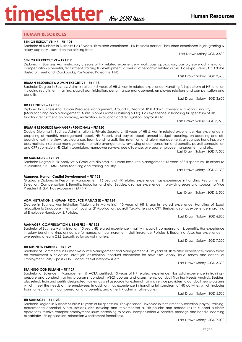### **HUMAN RESOURCES**

#### **SENIOR EXECUTIVE, HR - FR1101**

Bachelor of Business in Business; Has 3 years HR related experience - HR business partner ; has some experience in job grading & salary cap only - based on the existing table.

#### **SENIOR HR EXECUTIVE – FR1117**

Diploma in Business Administration; 8 years of HR related experience – work pass application, payroll, eave administration, compensation & benefits, recruitment, training & development, as well as other admin related duties. Has exposure in SAP, Adobe Illustrator, Freehand, Quickbooks, PayMaster, Paysonnel HRIS Last Drawn Salary : SGD 3,600

**HUMAN RESOURCE & ADMIN EXECUTIVE – FR1118** 

Bachelor Degree in Business Administration; 4-5 years of HR & Admin related experience. Handling full spectrum of HR function including recruitment, training, payroll administration, performance management, employee relations and compensation and benefits.

#### **HR EXECUTIVE – FR1119**

Diploma In Business And Human Resource Management; Around 10 Years of HR & Admin Experience In various Industry (Manufacturing, Ship Management, Audit, Mobile Game Publishing & Etc). Has experience In handling full spectrum of HR function: recruitment, on boarding, motivation, evaluation and recognition, payroll & Etc.

#### **HUMAN RESOURCE MANAGER (REGIONAL) – FR1120**

Double Diploma in Business Administration & Private Secretary; 18 years of HR & Admin related experience. Has experience in preparing of monthly management report, HR Report, and payroll report, annual budget reporting, on-boarding and offboarding, exit interview, tax clearance, team bonding activities, retention and talent management, grievances handling, work pass matters, insurance management, internship arrangements, reviewing of compensation and benefits, payroll computation and CPF submission, NS Claim submission, manpower surveys, due diligence, overseas employee management and etc. Last Drawn Salary : SGD 7, 500

#### **HR MANAGER – FR1121**

Bachelor Degree in Biz Analytics & Graduate diploma in Human Resource Management; 15 years of full spectrum HR exposure in Ministries, SME, MNC Manufacturing and trading industry.

#### **Manager, Human Capital Development – FR1123**

Graduate Diploma in Personnel Management; 16 years of HR related experience; has experience in handling Recruitment & Selection, Compensation & Benefits, induction and etc. Besides, also has experience in providing secretarial support to Vice President & GM. Has exposure in SAP HR.

Degree in Business Administration (Majoring in Marketing), 10 years of HR & admin related experience; Handling of Expat relocation to Singapore in terms of housing, EP Application, payroll, Tax Matters and CPF. Besides, also has experience in drafting

Last Drawn Salary : SGD 5, 500

Last Drawn Salary : SGD 6, 300

Last Drawn Salary : SGD 6,800

**MANAGER, COMPENSATION & BENEFITS – FR1125** 

**ADMINISTRATION & HUMAN RESOURCE MANAGER – FR1124** 

Bachelor of Business Administration; 10 years HR related experience - mainly in payroll, compensation & benefits. Has experience in salary benchmarking, annual performance, annual increment, staff insurance, Policies & Reporting. Also, has experience in overseeing a team C&B Executives for payroll matters. Last Drawn Salary : SGD 7,300

#### **HR BUSINESS PARTNER – FR1126**

of Employee Handbook & Policies.

Bachelor of Commerce in Human Resource Management and Management; 4 1/2 years of HR related experience- mainly focus on recruitment & selection, draft job description, conduct orientation for new hires, apply, issue, renew and cancel of Employment Pass/ S pass / LTVP, conduct exit interview & etc.

Last Drawn Salary : SGD 3,300

### **TRAINING CONSULTANT – FR1127**

Bachelor of Science in Management & ACTA certified; 13 years of HR related experience; Has solid experience in training prepare and conduct training programs, conduct (WSQ) courses and assessments, conduct Training Needs Analysis. Besides, also select, train and certify designated trainers as well as source for external training service providers to conduct new programs which meet the needs of the employees. In addition, has experience in handling full spectrum of HR activities which includes training, recruitment, compensation and benefits, and other HR administrative duties.

Last Drawn Salary : SGD 5,500

Last Drawn Salary : SGD 7,000

**HR MANAGER – FR1128**  Bachelor Degree in Business Studies; 16 years of full spectrum HR experience - involved in recruitment & selection, payroll, training, performance appraisal & etc. Besides, also develop and implemented all HR policies and procedures to support business operations, resolve complex employment issues pertaining to salary, compensation & benefits, manage and handle incoming expatriates (EP application, relocation & settlement formalities).

**Human Resources** 

Last Drawn Salary: SGD 3,500

Last Drawn Salary : SGD 3,600

Last Drawn Salary : SGD 3, 500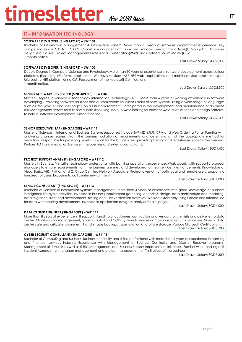## **IT – INFORMATION TECHNOLOGY**

### **SOFTWARE DEVELOPER (SINGAPORE) – JW1101**

Bachelor of Information Management & Information System. More than 11 years of software programmer experience. Key competencies are C# .NET, C++/STL/Boost library under both Linux and Windows environment; NoSQL, MongoDB; Database design, etc. Possess Project Management Professional Certification(PMP) and Certified Scrum Master(CSM). 1 month notice. Last Drawn Salary: SGD6,000

#### **SOFTWARE DEVELOPER (SINGAPORE) – JW1102**

Double Degree in Computer Science and Psychology. More than 10 years of experience in software development across various platforms (including Win-forms application, Windows services, ASP.NET web applications and mobile device applications) on Microsoft's .NET platform using C#. Possess most of the Microsoft Certifications. 1-month notice.

Last Drawn Salary: SGD5,500

**SENIOR SOFTWARE DEVELOPER (SINGAPORE) – JW1107** Master's Degree in Science & Technology Information Technology - NUS. More than 6 years of working experience in software developing. Providing software solutions and customizations for client's point of sales systems. Using a wide range of languages such as Perl, java, C and shell scripts, on a Linux environment. Participated in the development and maintenance of an online Risk Management system for a financial institution using JAVA. Always looking for efficient ways, such as tools and design patterns, to help in software development.1-month notice.

Last Drawn Salary: SGD6,000

#### **SENIOR EXECUTIVE, SAP (SINGAPORE) – WR1111**

Master of Science in International Business. Systems supported include SAP (SD, MM), CRM and Web Ordering Portal. Familiar with analyzing change requests from the business, collation of requirements and determination of the appropriate method for resolution. Responsible for providing Level 1 support for the business and providing training and refresher sessions for the business. Perform UAT and mediation between the business and external consultants.

Last Drawn Salary: SGD4,450

#### **PROJECT SUPPORT ANALYST (SINGAPORE) – WR1112**

Masters in Business. Versatile technology professional with banking operations experience. Work closely with support / product managers to ensure requirements from the business are met, and developed for new services / enhancements. Knowledge of Visual Basic, VBS, Python and C. Cisco Certified Network Associate. Project oversight of both local and remote users, supporting hundreds of users. Exposure to call center environment Last Drawn Salary: SGD4,000

#### **SENIOR CONSULTANT (SINGAPORE) – WR1113**

Bachelor of Science in Information Systems Management. More than 4 years of experience with good knowledge of business intelligence life-cycle activities. Involved in business requirement gathering, analysis & design, data architecture and modeling, data migration, front-end development, testing and user verification activities. Worked extensively using Oracle and Informatica for data warehousing development. Involved in application design & analysis for a BI project

Last Drawn Salary: SGD4,000

#### **DATA CENTER ENGINEER (SINGAPORE) – WR1114**

More than 8 years of experience in IT support. Handling of customers, contractors and vendors for site visits and deliveries to data centre. Monitor visitor management, access control and CCTV systems to ensure compliance to security processes. Monitor data centre safe and critical environment. Handle tape backups, tape rotation and offsite storage. Various Microsoft Certifications Last Drawn Salary: SGD3,700

#### **CYBER SECURITY CONSULTANT (SINGAPORE) – WR1115**

Bachelor of Computing and Business. Business continuity and IT Risk professional with more than 6 years of experience in banking and financial services industry. Experience with Management of Business Continuity and Disaster Recover programs. Management of IT Audits as well as IT Risk Management and Business Process improvement initiatives. Familiar with handling of IT Incident Management, change management and project management of IT initiatives of the business

Last Drawn Salary: SGD7,500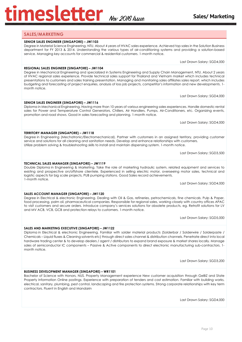## **SALES/MARKETING**

#### **SENIOR SALES ENGINEER (SINGAPORE) – JW1103**

Degree in Material Science Engineering, NTU. About 4 years of HVAC sales experience. Achieved top sales in the Solution Business department for FY 2013 & 2014. Understanding the various types of air-conditioning systems and providing a solution-based service. Managing key accounts for commercial & residential customers. 1-month notice.

Last Drawn Salary: SGD4,000

## **REGIONAL SALES ENGINEER (SINGAPORE) – JW1104**

Degree in Mechanical Engineering and specialized in Systems Engineering and Supply Chain Management, NTU. About 2 years of HVAC regional sales experience. Provide technical sales support for Thailand and Vietnam market which includes technical presentations to customers and sales training presentation. Managing and monitoring sales affiliates sales report, which includes budgeting and forecasting of project enquiries, analysis of loss job projects, competitor's information and new developments. 1 month notice.

Last Drawn Salary: SGD4,000

#### **SENIOR SALES ENGINEER (SINGAPORE) – JW1116** Diploma in Mechanical Engineering. Having more than 10 years of various engineering sales experiences. Handle domestic rental

**TERRITORY MANAGER (SINGAPORE) – JW1118**

sales for Power and Temperature Control Generators, Chillers, Air Handlers, Pumps, Air-Conditioners, etc. Organizing events, promotion and road shows. Good in sales forecasting and planning. 1-month notice.

Last Drawn Salary: SGD4,000

#### Degree in Engineering (Mechatronic/Electromechanical). Partner with customers in an assigned territory, providing customer service and solutions for all cleaning and sanitation needs. Develop and enhance relationships with customers. Utilize problem solving & troubleshooting skills to install and maintain dispensing system. 1-month notice.

Last Drawn Salary: SGD3,500

#### **TECHNICAL SALES MANAGER (SINGAPORE) – JW1119** Double Diploma in Engineering & Marketing. Take the role of marketing hydraulic system, related equipment and services to existing and prospective on/offshore clientele. Experienced in selling electric motor, overseeing motor sales, technical and logistic aspects for big scale projects, PUB pumping stations. Good Sales record achievements. 1-month notice.

Last Drawn Salary: SGD4,000

## **SALES ACCOUNT MANAGER (SINGAPORE) – JW1120**

**SALES AND MARKETING EXECUTIVE (SINGAPORE) – JW1122**

month notice.

Degree in Electrical & electronic Engineering. Dealing with Oil & Gas, refineries, petrochemicals, fine chemicals. Pulp & Paper, food processing, palm oil, pharmaceutical companies. Responsible for regional sales, working closely with country offices APAC to visit customers and secure orders. Introduce company's services solutions for obsolete products, eg. Retrofit solutions for LV and MV ACB, VCB, GCB and protection relays to customers. 1-month notice.

Diploma in Electrical & electronic Engineering. Familiar with solder material products (Solderbar / Solderwire / Solderpaste / Chemicals – Liquid fluxes & Cleaning solvents etc) through direct sales channel & distribution channels. Penetrate direct into local hardware trading center & to develop dealers / agent / distributors to expand brand exposure & market shares locally. Manage sales of semiconductor IC components – Passive & Active components to direct electronic manufacturing sub-contractors. 1-

Last Drawn Salary: SGD5,000

Last Drawn Salary: SGD3,200

#### **BUSINESS DEVELOPMENT MANAGER (SINGAPORE) – WR1101**

Bachelor of Science with Honors, NUS. Property Management experience New customer acquisition through GeBIZ and State Property Information Online postings. Experience with preparation of tenders and cost estimation. Familiar with building works, electrical, sanitary, plumbing, pest control, landscaping and fire protection systems. Strong corporate relationships with key term contractors. Fluent in English and Mandarin

Last Drawn Salary: SGD4,000

## **Sales/ Marketing**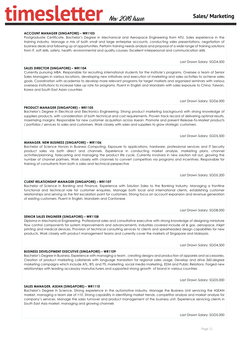#### Page 11

### **ACCOUNT MANAGER (SINGAPORE) – WR1103**

Postgraduate Certificate. Bachelor's Degree in Mechanical and Aerospace Engineering from NTU. Sales experience in the training industry. Manage a mix of both small and large enterprise accounts, conducting sales presentations, negotiation of business deals and following up of opportunities. Perform training needs analysis and proposal of a wide range of training solutions from IT, soft skills, safety, health, environmental and quality courses. Excellent interpersonal and communication skills

Last Drawn Salary: SGD4,500

#### **SALES DIRECTOR (SINGAPORE) – WR1104**

**PRODUCT MANAGER (SINGAPORE) – WR1105**

**MANAGER, NEW BUSINESS (SINGAPORE) – WR1106**

Currently pursuing MBA. Responsible for recruiting international students for the institute's programs. Oversee a team of Senior Sales Managers in various locations, developing new initiatives and execution of marketing and sales activities to achieve sales goals. Coordination with academia to develop more relevant programs for target markets and organized seminars with various overseas institutions to increase take up rate for programs. Fluent in English and Mandarin with sales exposure to China, Taiwan, Korea and South East Asian countries

Bachelor's Degree in Electrical and Electronics Engineering. Strong product marketing background with strong knowledge of suppliers products, with consideration of both technical and cost requirements. Proven track record of delivering optimal results,

Bachelor of Science Honors in Business Computing. Exposure to applications, hardware, professional services and IT Security product sales via both direct and channels. Experience in conducting market analysis, marketing plans, channel activities/planning, forecasting and managing the product life cycle. Currently involved in new solution roll out, growing the number of channel partners. Work closely with channels to convert competitors via programs and incentives. Responsible for

Last Drawn Salary: SGD6,000

#### maximizing margins. Responsible for new customer acquisition across Asean. Promote and present Release-To-Market products / portfolios / services to sales and customers. Work closely with sales and suppliers to grow strategic customers.

Last Drawn Salary: SGD5,500

#### Last Drawn Salary: SGD5,200

Last Drawn Salary: SGD8,000

Last Drawn Salary: SGD4,500

Last Drawn Salary: SGD5,000

Bachelor's Degree in Science. Strong experience in the automotive industry. Manage the Business Unit servicing the ASEAN market, managing a team size of >10. Strong capability in identifying market trends, competitor analysis and market analysis for company's services. Manage the sales turnover and product management of the business unit. Experience servicing clients in South East Asia market, managing and growing channels

### **CLIENT RELATIONSHIP MANAGER (SINGAPORE) – WR1107**

training of consultants from both a sales and technical perspective

Bachelor of Science in Banking and Finance. Experience with Solution Sales to the Banking Industry. Managing a frontline functional and technical role for customer enquiries. Manage both local and international clients, establishing customer relationships and serving as the first escalation point for customers. Strong focus on account expansion and revenue generation of existing customers. Fluent in English, Mandarin and Cantonese

**SENIOR SALES ENGINEER (SINGAPORE) – WR1108**

Diploma in Mechanical Engineering. Professional sales and consultative executive with strong knowledge of designing miniature flow control components for system improvements and advancements. Industries covered include oil & gas, aerospace, inkjet printing and medical devices. Provision of technical consulting services to clients and spearheaded design capabilities for new products. Work closely with product management teams and currently cover the markets of Singapore and Malaysia.

relationships with leading accessory manufacturers and supported strong growth of brand in various countries

Bachelor's Degree in Business. Experience with managing a team , creating designs and production of apparels and accessories. Creation of product marketing collaterals with language translation for regional sales usage. Develop and drive 360-degree marketing campaigns which include ATL, BTL and TTL marketing, social media marketing, EDM and Public Relations. Forged new

**SALES MANAGER, ASEAN (SINGAPORE) – WR1110**

**BUSINESS DEVELOPMENT EXECUTIVE (SINGAPORE) – WR1109**

Last Drawn Salary: SGD5,000



## **mesletter** Nov 2016 Assue